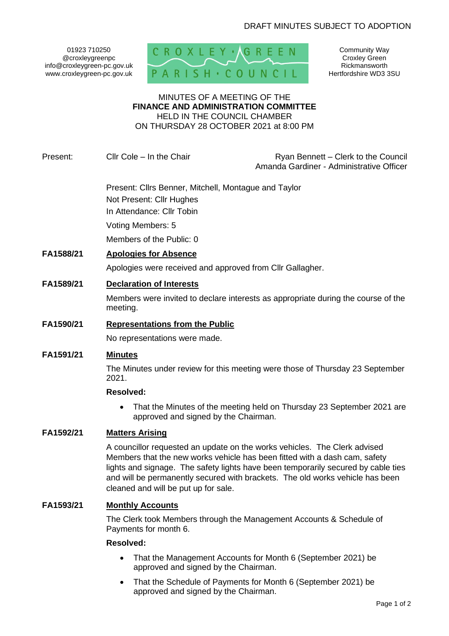01923 710250 @croxleygreenpc info@croxleygreen-pc.gov.uk www.croxleygreen-pc.gov.uk



Community Way Croxley Green Rickmansworth Hertfordshire WD3 3SU

#### MINUTES OF A MEETING OF THE **FINANCE AND ADMINISTRATION COMMITTEE** HELD IN THE COUNCIL CHAMBER

ON THURSDAY 28 OCTOBER 2021 at 8:00 PM

Present: Cllr Cole – In the Chair Ryan Bennett – Clerk to the Council Amanda Gardiner - Administrative Officer

> Present: Cllrs Benner, Mitchell, Montague and Taylor Not Present: Cllr Hughes In Attendance: Cllr Tobin

Voting Members: 5

Members of the Public: 0

# **FA1588/21 Apologies for Absence**

Apologies were received and approved from Cllr Gallagher.

## **FA1589/21 Declaration of Interests**

Members were invited to declare interests as appropriate during the course of the meeting.

## **FA1590/21 Representations from the Public**

No representations were made.

## **FA1591/21 Minutes**

The Minutes under review for this meeting were those of Thursday 23 September 2021.

#### **Resolved:**

• That the Minutes of the meeting held on Thursday 23 September 2021 are approved and signed by the Chairman.

## **FA1592/21 Matters Arising**

A councillor requested an update on the works vehicles. The Clerk advised Members that the new works vehicle has been fitted with a dash cam, safety lights and signage. The safety lights have been temporarily secured by cable ties and will be permanently secured with brackets. The old works vehicle has been cleaned and will be put up for sale.

## **FA1593/21 Monthly Accounts**

The Clerk took Members through the Management Accounts & Schedule of Payments for month 6.

#### **Resolved:**

- That the Management Accounts for Month 6 (September 2021) be approved and signed by the Chairman.
- That the Schedule of Payments for Month 6 (September 2021) be approved and signed by the Chairman.